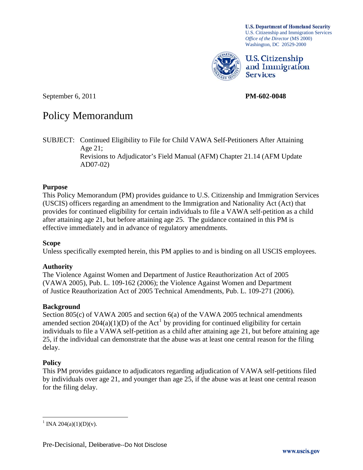**U.S. Department of Homeland Security** U.S. Citizenship and Immigration Services *Office of the Director* (MS 2000) Washington, DC 20529-2000



U.S. Citizenship and Immigration **Services** 

September 6, 2011 **PM-602-0048** 

# Policy Memorandum

SUBJECT: Continued Eligibility to File for Child VAWA Self-Petitioners After Attaining Age 21; Revisions to Adjudicator's Field Manual (AFM) Chapter 21.14 (AFM Update AD07-02)

## **Purpose**

This Policy Memorandum (PM) provides guidance to U.S. Citizenship and Immigration Services (USCIS) officers regarding an amendment to the Immigration and Nationality Act (Act) that provides for continued eligibility for certain individuals to file a VAWA self-petition as a child after attaining age 21, but before attaining age 25. The guidance contained in this PM is effective immediately and in advance of regulatory amendments.

#### **Scope**

Unless specifically exempted herein, this PM applies to and is binding on all USCIS employees.

# **Authority**

The Violence Against Women and Department of Justice Reauthorization Act of 2005 (VAWA 2005), Pub. L. 109-162 (2006); the Violence Against Women and Department of Justice Reauthorization Act of 2005 Technical Amendments, Pub. L. 109-271 (2006).

#### **Background**

Section 805(c) of VAWA 2005 and section 6(a) of the VAWA 2005 technical amendments amended section 204(a)([1](#page-0-0))(D) of the Act<sup>1</sup> by providing for continued eligibility for certain individuals to file a VAWA self-petition as a child after attaining age 21, but before attaining age 25, if the individual can demonstrate that the abuse was at least one central reason for the filing delay.

#### **Policy**

 $\overline{a}$ 

This PM provides guidance to adjudicators regarding adjudication of VAWA self-petitions filed by individuals over age 21, and younger than age 25, if the abuse was at least one central reason for the filing delay.

<span id="page-0-0"></span><sup>&</sup>lt;sup>1</sup> INA 204(a)(1)(D)(v).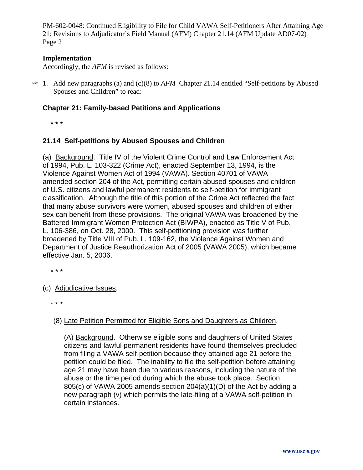## **Implementation**

Accordingly, the *AFM* is revised as follows:

 $\approx$  1. Add new paragraphs (a) and (c)(8) to *AFM* Chapter 21.14 entitled "Self-petitions by Abused Spouses and Children" to read:

## **Chapter 21: Family-based Petitions and Applications**

 **\* \* \*** 

## **21.14 Self-petitions by Abused Spouses and Children**

(a) Background. Title IV of the Violent Crime Control and Law Enforcement Act of 1994, Pub. L. 103-322 (Crime Act), enacted September 13, 1994, is the Violence Against Women Act of 1994 (VAWA). Section 40701 of VAWA amended section 204 of the Act, permitting certain abused spouses and children of U.S. citizens and lawful permanent residents to self-petition for immigrant classification. Although the title of this portion of the Crime Act reflected the fact that many abuse survivors were women, abused spouses and children of either sex can benefit from these provisions. The original VAWA was broadened by the Battered Immigrant Women Protection Act (BIWPA), enacted as Title V of Pub. L. 106-386, on Oct. 28, 2000. This self-petitioning provision was further broadened by Title VIII of Pub. L. 109-162, the Violence Against Women and Department of Justice Reauthorization Act of 2005 (VAWA 2005), which became effective Jan. 5, 2006.

\* \* \*

## (c) Adjudicative Issues.

\* \* \*

# (8) Late Petition Permitted for Eligible Sons and Daughters as Children.

(A) Background. Otherwise eligible sons and daughters of United States citizens and lawful permanent residents have found themselves precluded from filing a VAWA self-petition because they attained age 21 before the petition could be filed. The inability to file the self-petition before attaining age 21 may have been due to various reasons, including the nature of the abuse or the time period during which the abuse took place. Section 805(c) of VAWA 2005 amends section 204(a)(1)(D) of the Act by adding a new paragraph (v) which permits the late-filing of a VAWA self-petition in certain instances.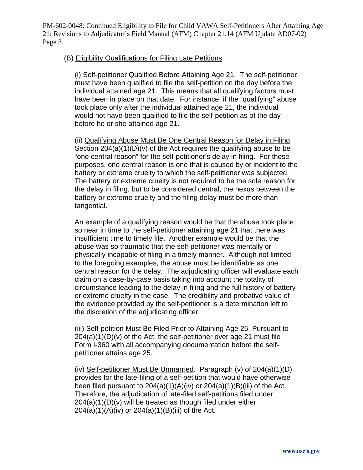## (B) Eligibility Qualifications for Filing Late Petitions.

(i) Self-petitioner Qualified Before Attaining Age 21. The self-petitioner must have been qualified to file the self-petition on the day before the individual attained age 21. This means that all qualifying factors must have been in place on that date. For instance, if the "qualifying" abuse took place only after the individual attained age 21, the individual would not have been qualified to file the self-petition as of the day before he or she attained age 21.

(ii) Qualifying Abuse Must Be One Central Reason for Delay in Filing. Section  $204(a)(1)(D)(v)$  of the Act requires the qualifying abuse to be "one central reason" for the self-petitioner's delay in filing. For these purposes, one central reason is one that is caused by or incident to the battery or extreme cruelty to which the self-petitioner was subjected. The battery or extreme cruelty is not required to be the sole reason for the delay in filing, but to be considered central, the nexus between the battery or extreme cruelty and the filing delay must be more than tangential.

An example of a qualifying reason would be that the abuse took place so near in time to the self-petitioner attaining age 21 that there was insufficient time to timely file. Another example would be that the abuse was so traumatic that the self-petitioner was mentally or physically incapable of filing in a timely manner. Although not limited to the foregoing examples, the abuse must be identifiable as one central reason for the delay. The adjudicating officer will evaluate each claim on a case-by-case basis taking into account the totality of circumstance leading to the delay in filing and the full history of battery or extreme cruelty in the case. The credibility and probative value of the evidence provided by the self-petitioner is a determination left to the discretion of the adjudicating officer.

(iii) Self-petition Must Be Filed Prior to Attaining Age 25. Pursuant to 204(a)(1)(D)(v) of the Act, the self-petitioner over age 21 must file Form I-360 with all accompanying documentation before the selfpetitioner attains age 25.

(iv) Self-petitioner Must Be Unmarried. Paragraph (v) of 204(a)(1)(D) provides for the late-filing of a self-petition that would have otherwise been filed pursuant to 204(a)(1)(A)(iv) or 204(a)(1)(B)(iii) of the Act. Therefore, the adjudication of late-filed self-petitions filed under 204(a)(1)(D)(v) will be treated as though filed under either  $204(a)(1)(A)(iv)$  or  $204(a)(1)(B)(iii)$  of the Act.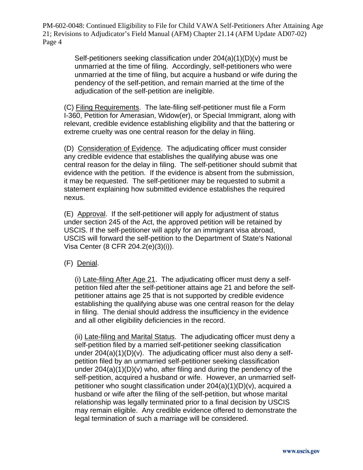> Self-petitioners seeking classification under 204(a)(1)(D)(v) must be unmarried at the time of filing. Accordingly, self-petitioners who were unmarried at the time of filing, but acquire a husband or wife during the pendency of the self-petition, and remain married at the time of the adjudication of the self-petition are ineligible.

(C) Filing Requirements. The late-filing self-petitioner must file a Form I-360, Petition for Amerasian, Widow(er), or Special Immigrant, along with relevant, credible evidence establishing eligibility and that the battering or extreme cruelty was one central reason for the delay in filing.

(D) Consideration of Evidence. The adjudicating officer must consider any credible evidence that establishes the qualifying abuse was one central reason for the delay in filing. The self-petitioner should submit that evidence with the petition. If the evidence is absent from the submission, it may be requested. The self-petitioner may be requested to submit a statement explaining how submitted evidence establishes the required nexus.

(E) Approval. If the self-petitioner will apply for adjustment of status under section 245 of the Act, the approved petition will be retained by USCIS. If the self-petitioner will apply for an immigrant visa abroad, USCIS will forward the self-petition to the Department of State's National Visa Center (8 CFR 204.2(e)(3)(i)).

(F) Denial.

(i) Late-filing After Age 21. The adjudicating officer must deny a selfpetition filed after the self-petitioner attains age 21 and before the selfpetitioner attains age 25 that is not supported by credible evidence establishing the qualifying abuse was one central reason for the delay in filing. The denial should address the insufficiency in the evidence and all other eligibility deficiencies in the record.

(ii) Late-filing and Marital Status. The adjudicating officer must deny a self-petition filed by a married self-petitioner seeking classification under  $204(a)(1)(D)(v)$ . The adjudicating officer must also deny a selfpetition filed by an unmarried self-petitioner seeking classification under 204(a)(1)(D)(v) who, after filing and during the pendency of the self-petition, acquired a husband or wife. However, an unmarried selfpetitioner who sought classification under 204(a)(1)(D)(v), acquired a husband or wife after the filing of the self-petition, but whose marital relationship was legally terminated prior to a final decision by USCIS may remain eligible. Any credible evidence offered to demonstrate the legal termination of such a marriage will be considered.